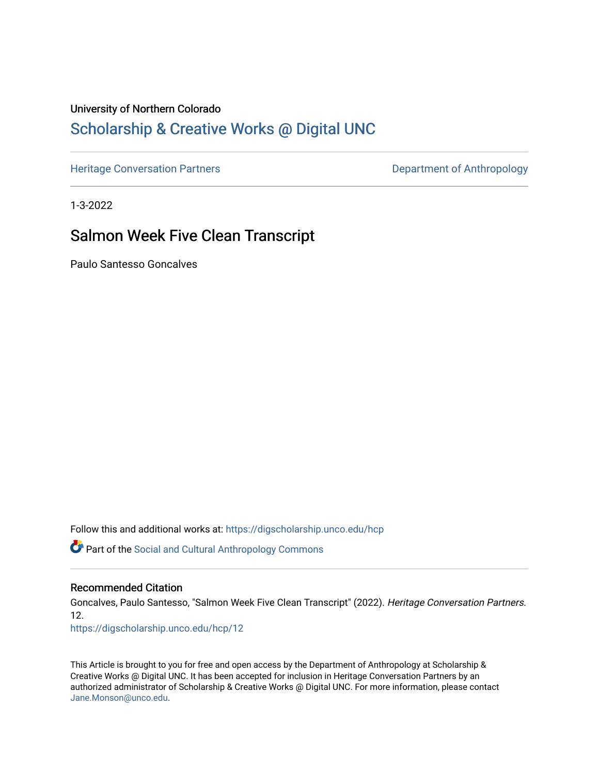# University of Northern Colorado

# [Scholarship & Creative Works @ Digital UNC](https://digscholarship.unco.edu/)

[Heritage Conversation Partners](https://digscholarship.unco.edu/hcp) **Department of Anthropology** 

1-3-2022

# Salmon Week Five Clean Transcript

Paulo Santesso Goncalves

Follow this and additional works at: [https://digscholarship.unco.edu/hcp](https://digscholarship.unco.edu/hcp?utm_source=digscholarship.unco.edu%2Fhcp%2F12&utm_medium=PDF&utm_campaign=PDFCoverPages) 

Part of the [Social and Cultural Anthropology Commons](http://network.bepress.com/hgg/discipline/323?utm_source=digscholarship.unco.edu%2Fhcp%2F12&utm_medium=PDF&utm_campaign=PDFCoverPages) 

#### Recommended Citation

Goncalves, Paulo Santesso, "Salmon Week Five Clean Transcript" (2022). Heritage Conversation Partners. 12.

[https://digscholarship.unco.edu/hcp/12](https://digscholarship.unco.edu/hcp/12?utm_source=digscholarship.unco.edu%2Fhcp%2F12&utm_medium=PDF&utm_campaign=PDFCoverPages) 

This Article is brought to you for free and open access by the Department of Anthropology at Scholarship & Creative Works @ Digital UNC. It has been accepted for inclusion in Heritage Conversation Partners by an authorized administrator of Scholarship & Creative Works @ Digital UNC. For more information, please contact [Jane.Monson@unco.edu.](mailto:Jane.Monson@unco.edu)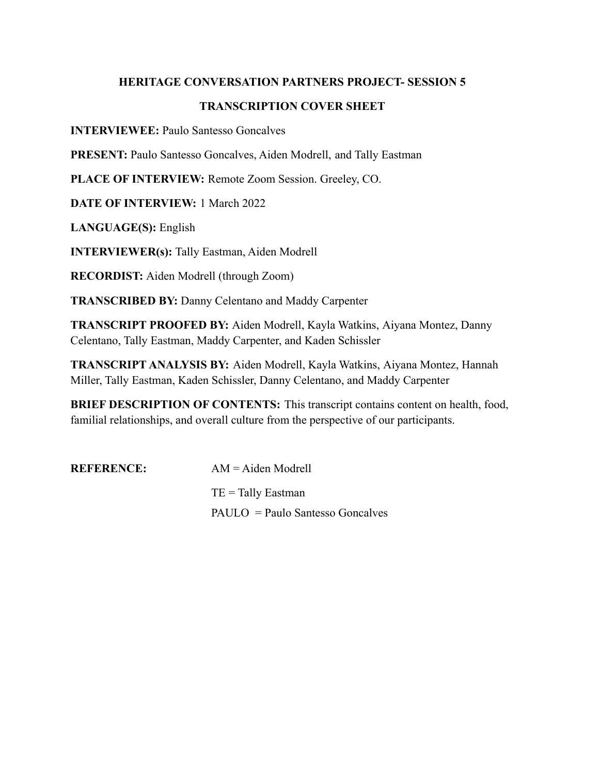## **HERITAGE CONVERSATION PARTNERS PROJECT- SESSION 5**

# **TRANSCRIPTION COVER SHEET**

**INTERVIEWEE:** Paulo Santesso Goncalves

**PRESENT:** Paulo Santesso Goncalves, Aiden Modrell, and Tally Eastman

**PLACE OF INTERVIEW:** Remote Zoom Session. Greeley, CO.

**DATE OF INTERVIEW:** 1 March 2022

**LANGUAGE(S):** English

**INTERVIEWER(s):** Tally Eastman, Aiden Modrell

**RECORDIST:** Aiden Modrell (through Zoom)

**TRANSCRIBED BY:** Danny Celentano and Maddy Carpenter

**TRANSCRIPT PROOFED BY:** Aiden Modrell, Kayla Watkins, Aiyana Montez, Danny Celentano, Tally Eastman, Maddy Carpenter, and Kaden Schissler

**TRANSCRIPT ANALYSIS BY:** Aiden Modrell, Kayla Watkins, Aiyana Montez, Hannah Miller, Tally Eastman, Kaden Schissler, Danny Celentano, and Maddy Carpenter

**BRIEF DESCRIPTION OF CONTENTS:** This transcript contains content on health, food, familial relationships, and overall culture from the perspective of our participants.

| <b>REFERENCE:</b> | $AM = A$ iden Modrell            |
|-------------------|----------------------------------|
|                   | $TE =$ Tally Eastman             |
|                   | PAULO = Paulo Santesso Goncalves |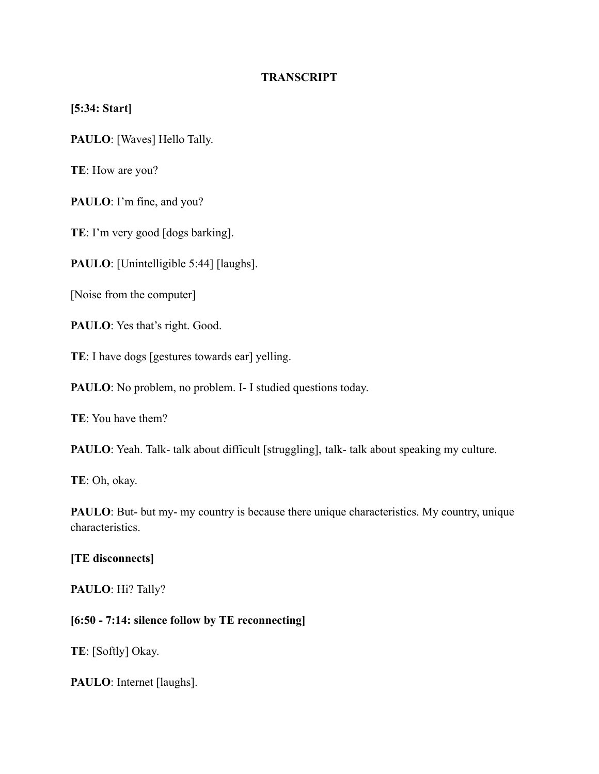# **TRANSCRIPT**

# **[5:34: Start]**

**PAULO**: [Waves] Hello Tally.

**TE**: How are you?

**PAULO**: I'm fine, and you?

**TE**: I'm very good [dogs barking].

**PAULO**: [Unintelligible 5:44] [laughs].

[Noise from the computer]

PAULO: Yes that's right. Good.

**TE**: I have dogs [gestures towards ear] yelling.

**PAULO**: No problem, no problem. I- I studied questions today.

**TE**: You have them?

**PAULO**: Yeah. Talk- talk about difficult [struggling], talk- talk about speaking my culture.

**TE**: Oh, okay.

**PAULO**: But- but my- my country is because there unique characteristics. My country, unique characteristics.

## **[TE disconnects]**

**PAULO**: Hi? Tally?

## **[6:50 - 7:14: silence follow by TE reconnecting]**

**TE**: [Softly] Okay.

**PAULO**: Internet [laughs].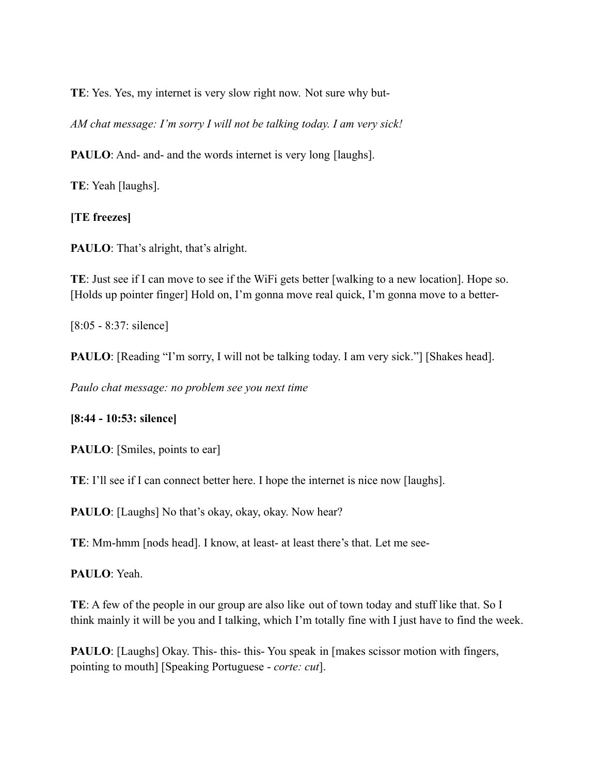**TE**: Yes. Yes, my internet is very slow right now. Not sure why but-

*AM chat message: I'm sorry I will not be talking today. I am very sick!*

**PAULO**: And- and- and the words internet is very long [laughs].

**TE**: Yeah [laughs].

**[TE freezes]**

**PAULO**: That's alright, that's alright.

**TE**: Just see if I can move to see if the WiFi gets better [walking to a new location]. Hope so. [Holds up pointer finger] Hold on, I'm gonna move real quick, I'm gonna move to a better-

[8:05 - 8:37: silence]

**PAULO**: [Reading "I'm sorry, I will not be talking today. I am very sick."] [Shakes head].

*Paulo chat message: no problem see you next time*

## **[8:44 - 10:53: silence]**

**PAULO**: [Smiles, points to ear]

**TE**: I'll see if I can connect better here. I hope the internet is nice now [laughs].

**PAULO**: [Laughs] No that's okay, okay, okay. Now hear?

**TE**: Mm-hmm [nods head]. I know, at least- at least there's that. Let me see-

**PAULO**: Yeah.

**TE**: A few of the people in our group are also like out of town today and stuff like that. So I think mainly it will be you and I talking, which I'm totally fine with I just have to find the week.

**PAULO**: [Laughs] Okay. This- this- this- You speak in [makes scissor motion with fingers, pointing to mouth] [Speaking Portuguese - *corte: cut*].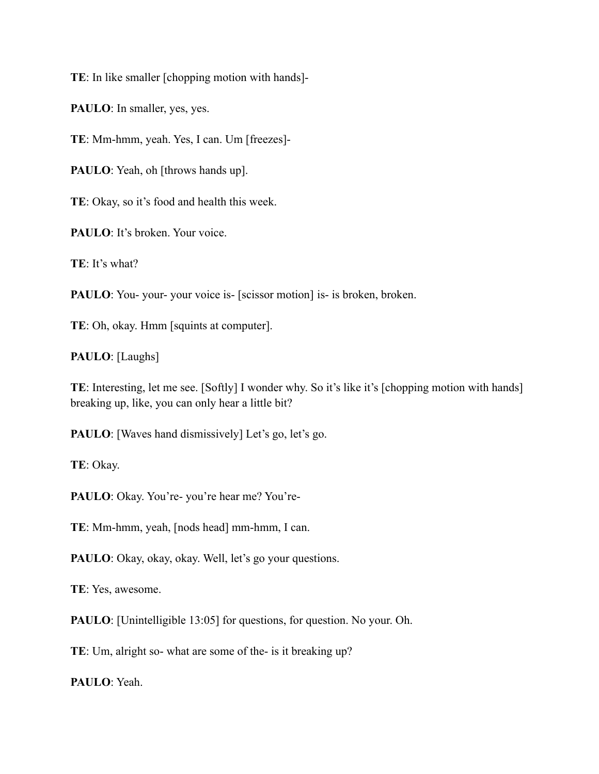**TE**: In like smaller [chopping motion with hands]-

**PAULO**: In smaller, yes, yes.

**TE**: Mm-hmm, yeah. Yes, I can. Um [freezes]-

**PAULO**: Yeah, oh [throws hands up].

**TE**: Okay, so it's food and health this week.

PAULO: It's broken. Your voice.

**TE**: It's what?

**PAULO**: You- your- your voice is- [scissor motion] is- is broken, broken.

**TE**: Oh, okay. Hmm [squints at computer].

**PAULO**: [Laughs]

**TE**: Interesting, let me see. [Softly] I wonder why. So it's like it's [chopping motion with hands] breaking up, like, you can only hear a little bit?

**PAULO**: [Waves hand dismissively] Let's go, let's go.

**TE**: Okay.

**PAULO**: Okay. You're- you're hear me? You're-

**TE**: Mm-hmm, yeah, [nods head] mm-hmm, I can.

**PAULO**: Okay, okay, okay. Well, let's go your questions.

**TE**: Yes, awesome.

**PAULO**: [Unintelligible 13:05] for questions, for question. No your. Oh.

**TE**: Um, alright so- what are some of the- is it breaking up?

**PAULO**: Yeah.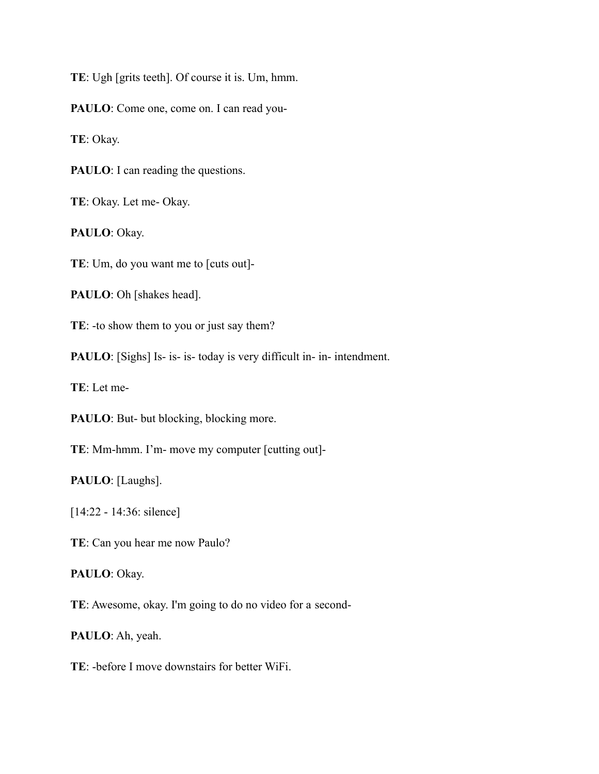**TE**: Ugh [grits teeth]. Of course it is. Um, hmm.

PAULO: Come one, come on. I can read you-

**TE**: Okay.

**PAULO**: I can reading the questions.

**TE**: Okay. Let me- Okay.

**PAULO**: Okay.

**TE**: Um, do you want me to [cuts out]-

**PAULO**: Oh [shakes head].

**TE**: -to show them to you or just say them?

**PAULO**: [Sighs] Is- is- is- today is very difficult in- in- intendment.

**TE**: Let me-

PAULO: But- but blocking, blocking more.

**TE**: Mm-hmm. I'm- move my computer [cutting out]-

**PAULO**: [Laughs].

[14:22 - 14:36: silence]

**TE**: Can you hear me now Paulo?

**PAULO**: Okay.

**TE**: Awesome, okay. I'm going to do no video for a second-

**PAULO**: Ah, yeah.

**TE**: -before I move downstairs for better WiFi.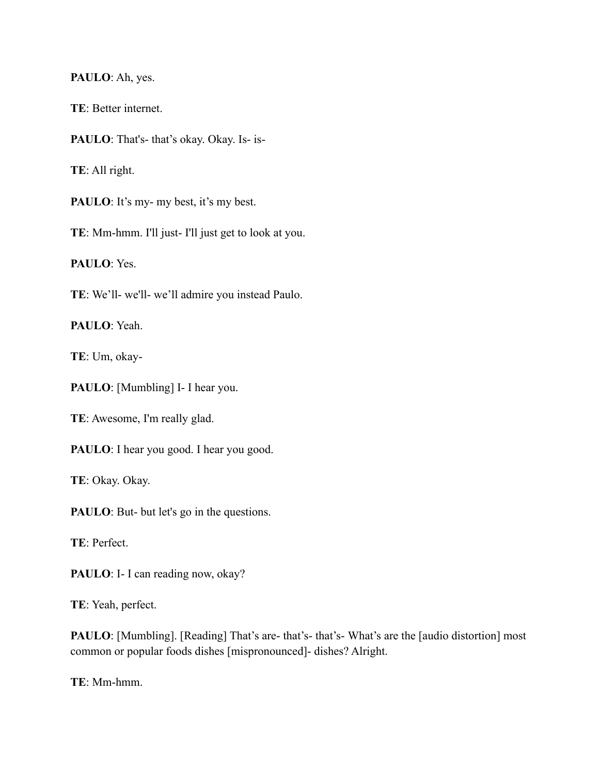#### **PAULO**: Ah, yes.

**TE**: Better internet.

**PAULO**: That's- that's okay. Okay. Is- is-

**TE**: All right.

PAULO: It's my- my best, it's my best.

**TE**: Mm-hmm. I'll just- I'll just get to look at you.

**PAULO**: Yes.

**TE**: We'll- we'll- we'll admire you instead Paulo.

**PAULO**: Yeah.

**TE**: Um, okay-

**PAULO**: [Mumbling] I- I hear you.

**TE**: Awesome, I'm really glad.

PAULO: I hear you good. I hear you good.

**TE**: Okay. Okay.

**PAULO**: But- but let's go in the questions.

**TE**: Perfect.

PAULO: I- I can reading now, okay?

**TE**: Yeah, perfect.

**PAULO**: [Mumbling]. [Reading] That's are- that's- that's- What's are the [audio distortion] most common or popular foods dishes [mispronounced]- dishes? Alright.

**TE**: Mm-hmm.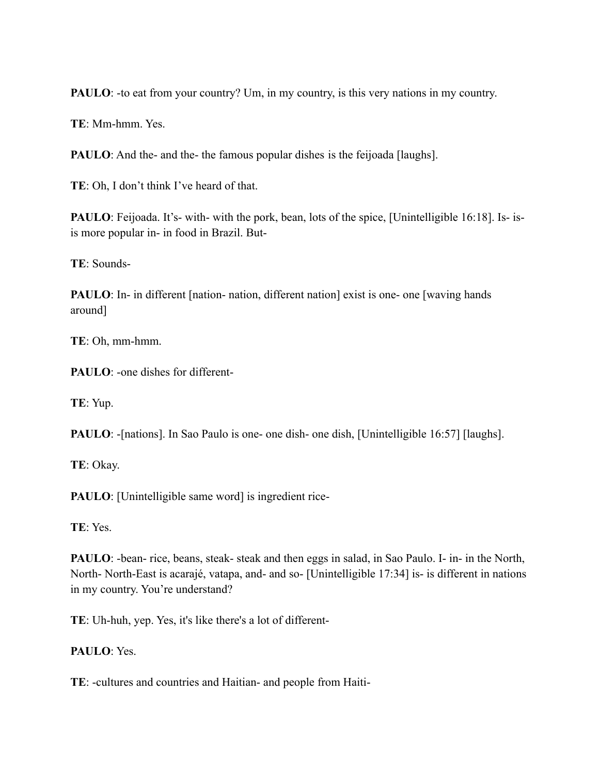**PAULO**: -to eat from your country? Um, in my country, is this very nations in my country.

**TE**: Mm-hmm. Yes.

**PAULO**: And the- and the- the famous popular dishes is the feijoada [laughs].

**TE**: Oh, I don't think I've heard of that.

**PAULO**: Feijoada. It's- with- with the pork, bean, lots of the spice, [Unintelligible 16:18]. Is- isis more popular in- in food in Brazil. But-

**TE**: Sounds-

**PAULO**: In- in different [nation- nation, different nation] exist is one- one [waving hands around]

**TE**: Oh, mm-hmm.

**PAULO**: -one dishes for different-

**TE**: Yup.

**PAULO**: -[nations]. In Sao Paulo is one- one dish- one dish, [Unintelligible 16:57] [laughs].

**TE**: Okay.

**PAULO**: [Unintelligible same word] is ingredient rice-

**TE**: Yes.

**PAULO**: -bean- rice, beans, steak- steak and then eggs in salad, in Sao Paulo. I- in- in the North, North- North-East is acarajé, vatapa, and- and so- [Unintelligible 17:34] is- is different in nations in my country. You're understand?

**TE**: Uh-huh, yep. Yes, it's like there's a lot of different-

# **PAULO**: Yes.

**TE**: -cultures and countries and Haitian- and people from Haiti-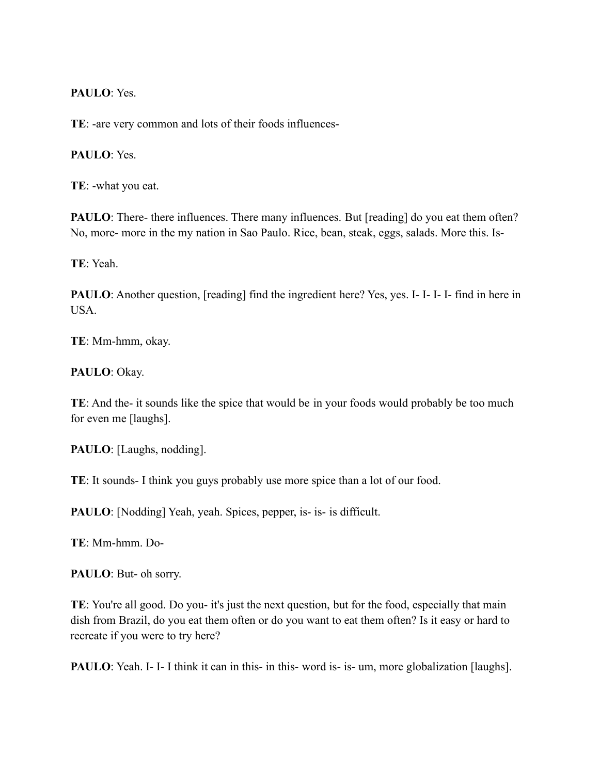## **PAULO**: Yes.

**TE**: -are very common and lots of their foods influences-

# **PAULO**: Yes.

**TE**: -what you eat.

**PAULO**: There- there influences. There many influences. But [reading] do you eat them often? No, more- more in the my nation in Sao Paulo. Rice, bean, steak, eggs, salads. More this. Is-

**TE**: Yeah.

**PAULO**: Another question, [reading] find the ingredient here? Yes, yes. I-I-I-I- find in here in USA.

**TE**: Mm-hmm, okay.

## **PAULO**: Okay.

**TE**: And the- it sounds like the spice that would be in your foods would probably be too much for even me [laughs].

**PAULO**: [Laughs, nodding].

**TE**: It sounds- I think you guys probably use more spice than a lot of our food.

**PAULO**: [Nodding] Yeah, yeah. Spices, pepper, is- is- is difficult.

**TE**: Mm-hmm. Do-

**PAULO**: But- oh sorry.

**TE**: You're all good. Do you- it's just the next question, but for the food, especially that main dish from Brazil, do you eat them often or do you want to eat them often? Is it easy or hard to recreate if you were to try here?

**PAULO**: Yeah. I- I- I think it can in this- in this- word is- is- um, more globalization [laughs].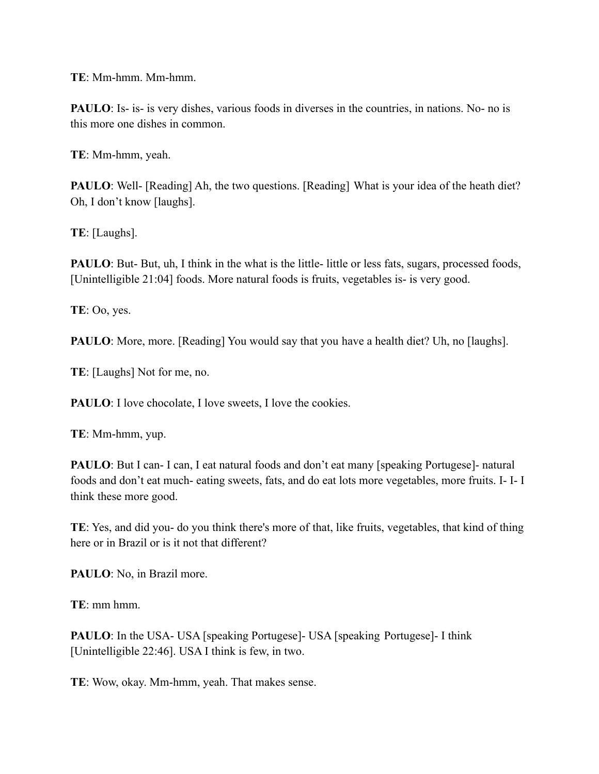**TE**: Mm-hmm. Mm-hmm.

**PAULO**: Is- is- is very dishes, various foods in diverses in the countries, in nations. No- no is this more one dishes in common.

**TE**: Mm-hmm, yeah.

**PAULO**: Well- [Reading] Ah, the two questions. [Reading] What is your idea of the heath diet? Oh, I don't know [laughs].

**TE**: [Laughs].

**PAULO**: But- But, uh, I think in the what is the little- little or less fats, sugars, processed foods, [Unintelligible 21:04] foods. More natural foods is fruits, vegetables is- is very good.

**TE**: Oo, yes.

**PAULO**: More, more. [Reading] You would say that you have a health diet? Uh, no [laughs].

**TE**: [Laughs] Not for me, no.

**PAULO**: I love chocolate, I love sweets, I love the cookies.

**TE**: Mm-hmm, yup.

**PAULO**: But I can- I can, I eat natural foods and don't eat many [speaking Portugese]- natural foods and don't eat much- eating sweets, fats, and do eat lots more vegetables, more fruits. I- I- I think these more good.

**TE**: Yes, and did you- do you think there's more of that, like fruits, vegetables, that kind of thing here or in Brazil or is it not that different?

**PAULO**: No, in Brazil more.

**TE**: mm hmm.

**PAULO**: In the USA- USA [speaking Portugese]- USA [speaking Portugese]- I think [Unintelligible 22:46]. USA I think is few, in two.

**TE**: Wow, okay. Mm-hmm, yeah. That makes sense.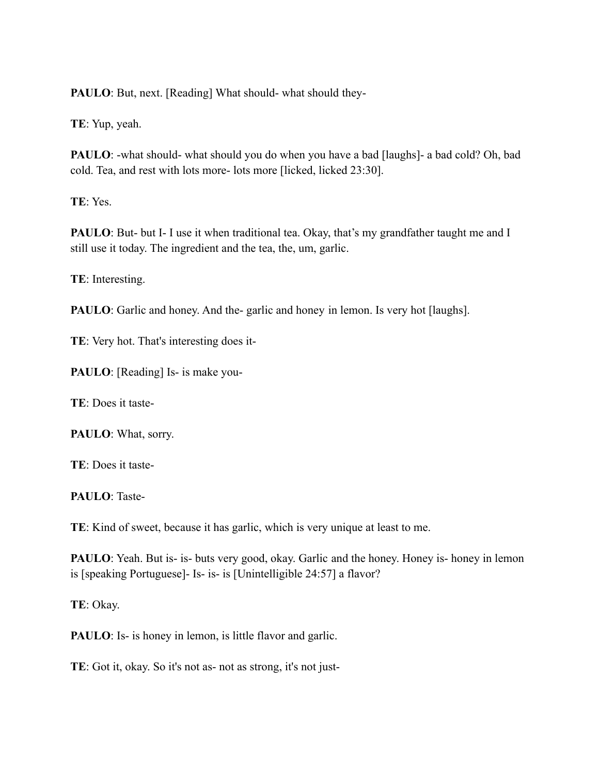**PAULO**: But, next. [Reading] What should- what should they-

**TE**: Yup, yeah.

**PAULO**: -what should- what should you do when you have a bad [laughs]- a bad cold? Oh, bad cold. Tea, and rest with lots more- lots more [licked, licked 23:30].

**TE**: Yes.

**PAULO**: But- but I- I use it when traditional tea. Okay, that's my grandfather taught me and I still use it today. The ingredient and the tea, the, um, garlic.

**TE**: Interesting.

**PAULO**: Garlic and honey. And the-garlic and honey in lemon. Is very hot [laughs].

**TE**: Very hot. That's interesting does it-

**PAULO**: [Reading] Is- is make you-

**TE**: Does it taste-

**PAULO**: What, sorry.

**TE**: Does it taste-

**PAULO**: Taste-

**TE**: Kind of sweet, because it has garlic, which is very unique at least to me.

**PAULO**: Yeah. But is- is- buts very good, okay. Garlic and the honey. Honey is- honey in lemon is [speaking Portuguese]- Is- is- is [Unintelligible 24:57] a flavor?

**TE**: Okay.

**PAULO**: Is- is honey in lemon, is little flavor and garlic.

**TE**: Got it, okay. So it's not as- not as strong, it's not just-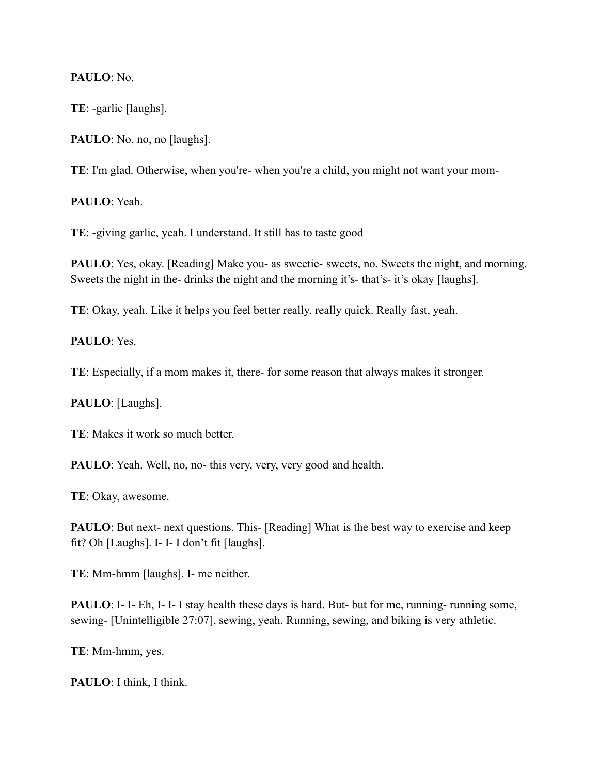# **PAULO**: No.

**TE**: -garlic [laughs].

PAULO: No, no, no [laughs].

**TE**: I'm glad. Otherwise, when you're- when you're a child, you might not want your mom-

**PAULO**: Yeah.

**TE**: -giving garlic, yeah. I understand. It still has to taste good

**PAULO**: Yes, okay. [Reading] Make you- as sweetie- sweets, no. Sweets the night, and morning. Sweets the night in the- drinks the night and the morning it's- that's- it's okay [laughs].

**TE**: Okay, yeah. Like it helps you feel better really, really quick. Really fast, yeah.

**PAULO**: Yes.

**TE**: Especially, if a mom makes it, there- for some reason that always makes it stronger.

**PAULO**: [Laughs].

**TE**: Makes it work so much better.

**PAULO**: Yeah. Well, no, no- this very, very, very good and health.

**TE**: Okay, awesome.

**PAULO**: But next- next questions. This- [Reading] What is the best way to exercise and keep fit? Oh [Laughs]. I- I- I don't fit [laughs].

**TE**: Mm-hmm [laughs]. I- me neither.

**PAULO**: I- I- Eh, I- I- I stay health these days is hard. But- but for me, running- running some, sewing- [Unintelligible 27:07], sewing, yeah. Running, sewing, and biking is very athletic.

**TE**: Mm-hmm, yes.

**PAULO**: I think, I think.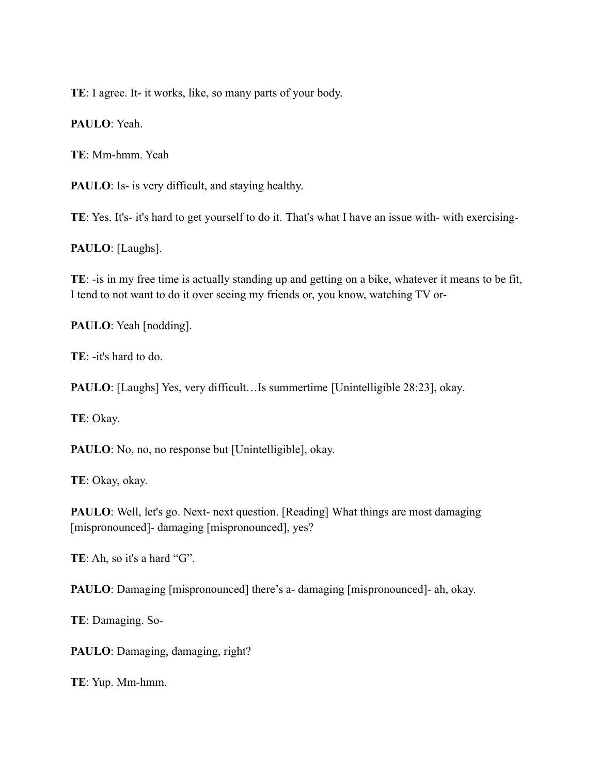**TE**: I agree. It- it works, like, so many parts of your body.

**PAULO**: Yeah.

**TE**: Mm-hmm. Yeah

**PAULO**: Is- is very difficult, and staying healthy.

**TE**: Yes. It's- it's hard to get yourself to do it. That's what I have an issue with- with exercising-

**PAULO**: [Laughs].

**TE**: -is in my free time is actually standing up and getting on a bike, whatever it means to be fit, I tend to not want to do it over seeing my friends or, you know, watching TV or-

**PAULO**: Yeah [nodding].

**TE**: -it's hard to do.

**PAULO**: [Laughs] Yes, very difficult…Is summertime [Unintelligible 28:23], okay.

**TE**: Okay.

**PAULO**: No, no, no response but [Unintelligible], okay.

**TE**: Okay, okay.

**PAULO**: Well, let's go. Next- next question. [Reading] What things are most damaging [mispronounced]- damaging [mispronounced], yes?

**TE**: Ah, so it's a hard "G".

**PAULO**: Damaging [mispronounced] there's a- damaging [mispronounced]- ah, okay.

**TE**: Damaging. So-

**PAULO**: Damaging, damaging, right?

**TE**: Yup. Mm-hmm.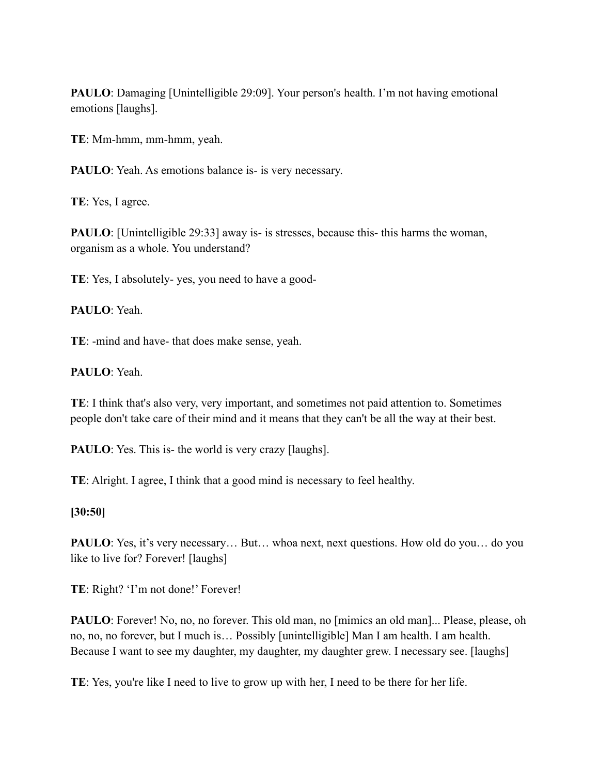**PAULO**: Damaging [Unintelligible 29:09]. Your person's health. I'm not having emotional emotions [laughs].

**TE**: Mm-hmm, mm-hmm, yeah.

**PAULO**: Yeah. As emotions balance is- is very necessary.

**TE**: Yes, I agree.

**PAULO**: [Unintelligible 29:33] away is- is stresses, because this- this harms the woman, organism as a whole. You understand?

**TE**: Yes, I absolutely- yes, you need to have a good-

**PAULO**: Yeah.

**TE**: -mind and have- that does make sense, yeah.

**PAULO**: Yeah.

**TE**: I think that's also very, very important, and sometimes not paid attention to. Sometimes people don't take care of their mind and it means that they can't be all the way at their best.

**PAULO**: Yes. This is- the world is very crazy [laughs].

**TE**: Alright. I agree, I think that a good mind is necessary to feel healthy.

## **[30:50]**

**PAULO**: Yes, it's very necessary... But... whoa next, next questions. How old do you... do you like to live for? Forever! [laughs]

TE: Right? 'I'm not done!' Forever!

**PAULO**: Forever! No, no, no forever. This old man, no [mimics an old man]... Please, please, oh no, no, no forever, but I much is… Possibly [unintelligible] Man I am health. I am health. Because I want to see my daughter, my daughter, my daughter grew. I necessary see. [laughs]

**TE**: Yes, you're like I need to live to grow up with her, I need to be there for her life.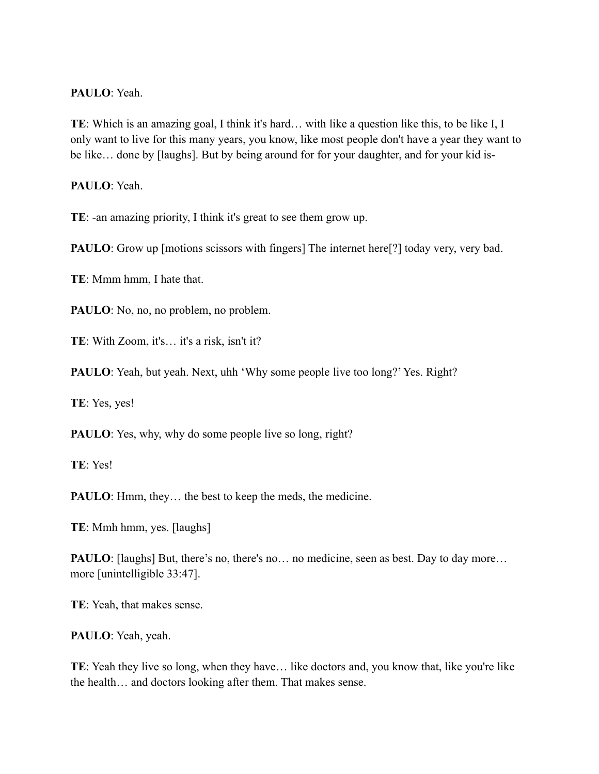#### **PAULO**: Yeah.

**TE**: Which is an amazing goal, I think it's hard… with like a question like this, to be like I, I only want to live for this many years, you know, like most people don't have a year they want to be like… done by [laughs]. But by being around for for your daughter, and for your kid is-

**PAULO**: Yeah.

**TE**: -an amazing priority, I think it's great to see them grow up.

**PAULO**: Grow up [motions scissors with fingers] The internet here[?] today very, very bad.

**TE**: Mmm hmm, I hate that.

**PAULO**: No, no, no problem, no problem.

**TE**: With Zoom, it's… it's a risk, isn't it?

**PAULO**: Yeah, but yeah. Next, uhh 'Why some people live too long?' Yes. Right?

**TE**: Yes, yes!

**PAULO**: Yes, why, why do some people live so long, right?

**TE**: Yes!

PAULO: Hmm, they... the best to keep the meds, the medicine.

**TE**: Mmh hmm, yes. [laughs]

**PAULO**: [laughs] But, there's no, there's no... no medicine, seen as best. Day to day more... more [unintelligible 33:47].

**TE**: Yeah, that makes sense.

**PAULO**: Yeah, yeah.

**TE**: Yeah they live so long, when they have… like doctors and, you know that, like you're like the health… and doctors looking after them. That makes sense.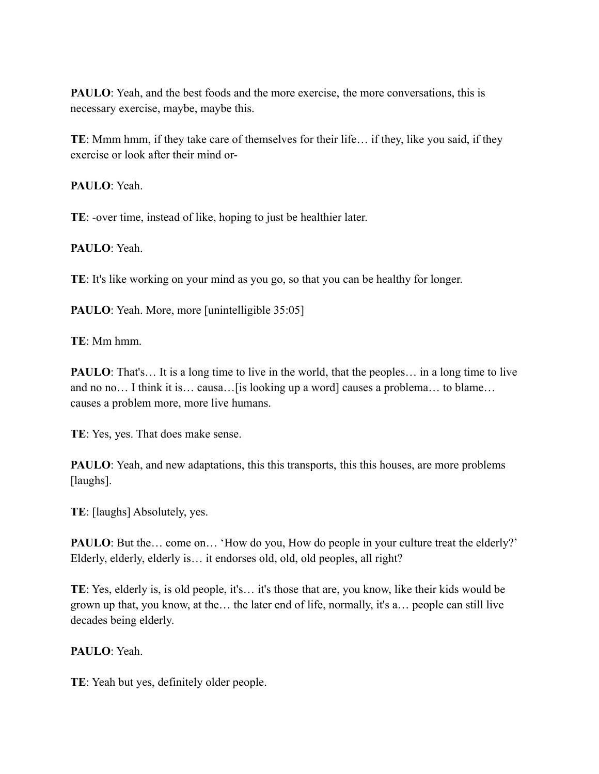**PAULO**: Yeah, and the best foods and the more exercise, the more conversations, this is necessary exercise, maybe, maybe this.

**TE**: Mmm hmm, if they take care of themselves for their life… if they, like you said, if they exercise or look after their mind or-

**PAULO**: Yeah.

**TE**: -over time, instead of like, hoping to just be healthier later.

**PAULO**: Yeah.

**TE**: It's like working on your mind as you go, so that you can be healthy for longer.

**PAULO**: Yeah. More, more [unintelligible 35:05]

**TE**: Mm hmm.

**PAULO**: That's... It is a long time to live in the world, that the peoples... in a long time to live and no no… I think it is… causa…[is looking up a word] causes a problema… to blame… causes a problem more, more live humans.

**TE**: Yes, yes. That does make sense.

**PAULO**: Yeah, and new adaptations, this this transports, this this houses, are more problems [laughs].

**TE**: [laughs] Absolutely, yes.

**PAULO**: But the... come on... 'How do you, How do people in your culture treat the elderly?' Elderly, elderly, elderly is… it endorses old, old, old peoples, all right?

**TE**: Yes, elderly is, is old people, it's… it's those that are, you know, like their kids would be grown up that, you know, at the… the later end of life, normally, it's a… people can still live decades being elderly.

# **PAULO**: Yeah.

**TE**: Yeah but yes, definitely older people.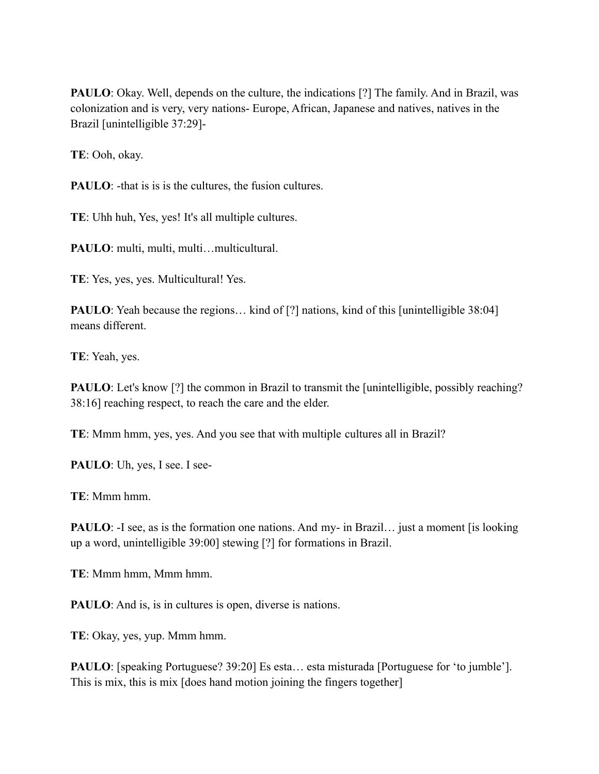**PAULO**: Okay. Well, depends on the culture, the indications [?] The family. And in Brazil, was colonization and is very, very nations- Europe, African, Japanese and natives, natives in the Brazil [unintelligible 37:29]-

**TE**: Ooh, okay.

**PAULO:** -that is is is the cultures, the fusion cultures.

**TE**: Uhh huh, Yes, yes! It's all multiple cultures.

PAULO: multi, multi, multi...multicultural.

**TE**: Yes, yes, yes. Multicultural! Yes.

**PAULO**: Yeah because the regions... kind of [?] nations, kind of this [unintelligible 38:04] means different.

**TE**: Yeah, yes.

**PAULO**: Let's know [?] the common in Brazil to transmit the [unintelligible, possibly reaching? 38:16] reaching respect, to reach the care and the elder.

**TE**: Mmm hmm, yes, yes. And you see that with multiple cultures all in Brazil?

PAULO: Uh, yes, I see. I see-

**TE**: Mmm hmm.

**PAULO**: -I see, as is the formation one nations. And my- in Brazil... just a moment [is looking] up a word, unintelligible 39:00] stewing [?] for formations in Brazil.

**TE**: Mmm hmm, Mmm hmm.

**PAULO**: And is, is in cultures is open, diverse is nations.

**TE**: Okay, yes, yup. Mmm hmm.

**PAULO**: [speaking Portuguese? 39:20] Es esta… esta misturada [Portuguese for 'to jumble']. This is mix, this is mix [does hand motion joining the fingers together]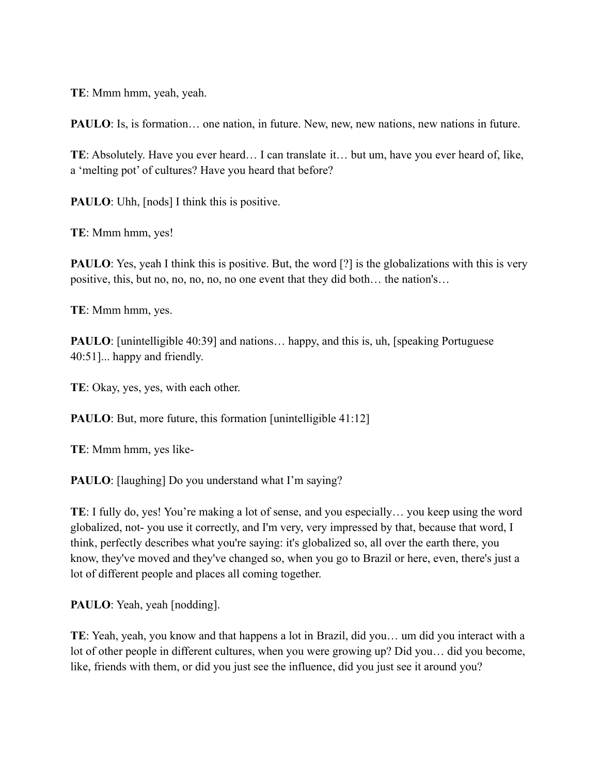**TE**: Mmm hmm, yeah, yeah.

**PAULO**: Is, is formation... one nation, in future. New, new, new nations, new nations in future.

**TE**: Absolutely. Have you ever heard… I can translate it… but um, have you ever heard of, like, a 'melting pot' of cultures? Have you heard that before?

**PAULO**: Uhh,  $[nodes]$  I think this is positive.

**TE**: Mmm hmm, yes!

**PAULO**: Yes, yeah I think this is positive. But, the word [?] is the globalizations with this is very positive, this, but no, no, no, no, no one event that they did both… the nation's…

**TE**: Mmm hmm, yes.

**PAULO**: [unintelligible 40:39] and nations... happy, and this is, uh, [speaking Portuguese] 40:51]... happy and friendly.

**TE**: Okay, yes, yes, with each other.

**PAULO**: But, more future, this formation [unintelligible 41:12]

**TE**: Mmm hmm, yes like-

**PAULO**: [laughing] Do you understand what I'm saying?

**TE**: I fully do, yes! You're making a lot of sense, and you especially… you keep using the word globalized, not- you use it correctly, and I'm very, very impressed by that, because that word, I think, perfectly describes what you're saying: it's globalized so, all over the earth there, you know, they've moved and they've changed so, when you go to Brazil or here, even, there's just a lot of different people and places all coming together.

**PAULO**: Yeah, yeah [nodding].

**TE**: Yeah, yeah, you know and that happens a lot in Brazil, did you… um did you interact with a lot of other people in different cultures, when you were growing up? Did you… did you become, like, friends with them, or did you just see the influence, did you just see it around you?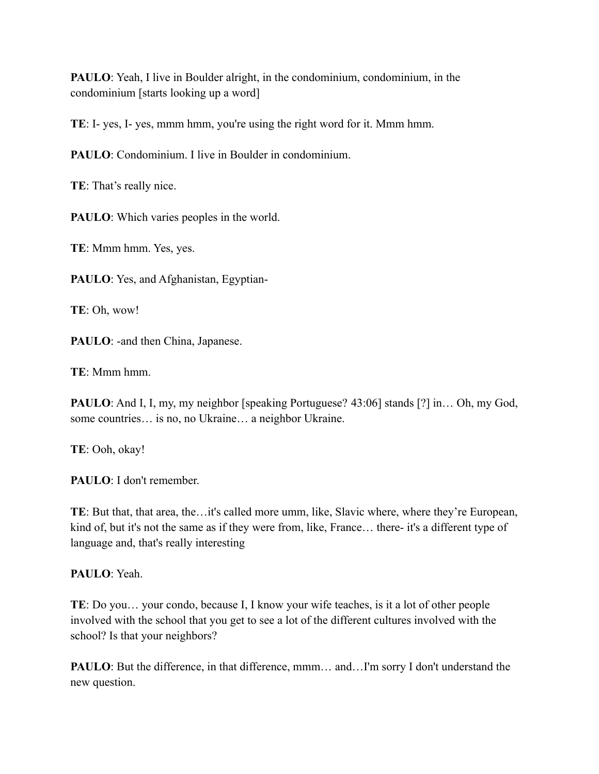**PAULO**: Yeah, I live in Boulder alright, in the condominium, condominium, in the condominium [starts looking up a word]

**TE**: I- yes, I- yes, mmm hmm, you're using the right word for it. Mmm hmm.

**PAULO**: Condominium. I live in Boulder in condominium.

**TE**: That's really nice.

**PAULO**: Which varies peoples in the world.

**TE**: Mmm hmm. Yes, yes.

**PAULO**: Yes, and Afghanistan, Egyptian-

**TE**: Oh, wow!

PAULO: -and then China, Japanese.

**TE**: Mmm hmm.

**PAULO**: And I, I, my, my neighbor [speaking Portuguese? 43:06] stands [?] in… Oh, my God, some countries… is no, no Ukraine… a neighbor Ukraine.

**TE**: Ooh, okay!

**PAULO**: I don't remember.

**TE**: But that, that area, the…it's called more umm, like, Slavic where, where they're European, kind of, but it's not the same as if they were from, like, France… there- it's a different type of language and, that's really interesting

**PAULO**: Yeah.

**TE**: Do you… your condo, because I, I know your wife teaches, is it a lot of other people involved with the school that you get to see a lot of the different cultures involved with the school? Is that your neighbors?

**PAULO**: But the difference, in that difference, mmm... and...I'm sorry I don't understand the new question.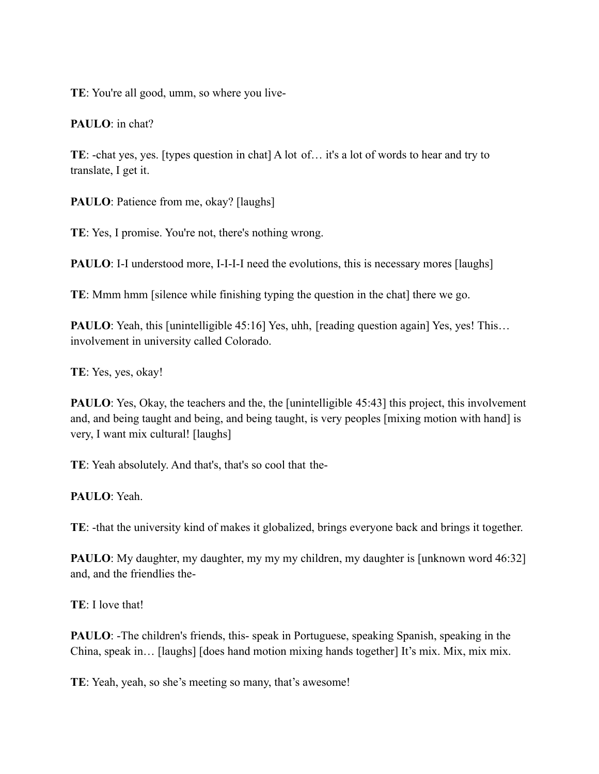**TE**: You're all good, umm, so where you live-

**PAULO**: in chat?

**TE**: -chat yes, yes. [types question in chat] A lot of… it's a lot of words to hear and try to translate, I get it.

**PAULO**: Patience from me, okay? [laughs]

**TE**: Yes, I promise. You're not, there's nothing wrong.

**PAULO**: I-I understood more, I-I-I-I need the evolutions, this is necessary mores [laughs]

**TE**: Mmm hmm [silence while finishing typing the question in the chat] there we go.

**PAULO**: Yeah, this [unintelligible 45:16] Yes, uhh, [reading question again] Yes, yes! This... involvement in university called Colorado.

**TE**: Yes, yes, okay!

**PAULO**: Yes, Okay, the teachers and the, the [unintelligible 45:43] this project, this involvement and, and being taught and being, and being taught, is very peoples [mixing motion with hand] is very, I want mix cultural! [laughs]

**TE**: Yeah absolutely. And that's, that's so cool that the-

**PAULO**: Yeah.

**TE**: -that the university kind of makes it globalized, brings everyone back and brings it together.

**PAULO**: My daughter, my daughter, my my my children, my daughter is [unknown word 46:32] and, and the friendlies the-

**TE**: I love that!

**PAULO**: -The children's friends, this- speak in Portuguese, speaking Spanish, speaking in the China, speak in… [laughs] [does hand motion mixing hands together] It's mix. Mix, mix mix.

**TE**: Yeah, yeah, so she's meeting so many, that's awesome!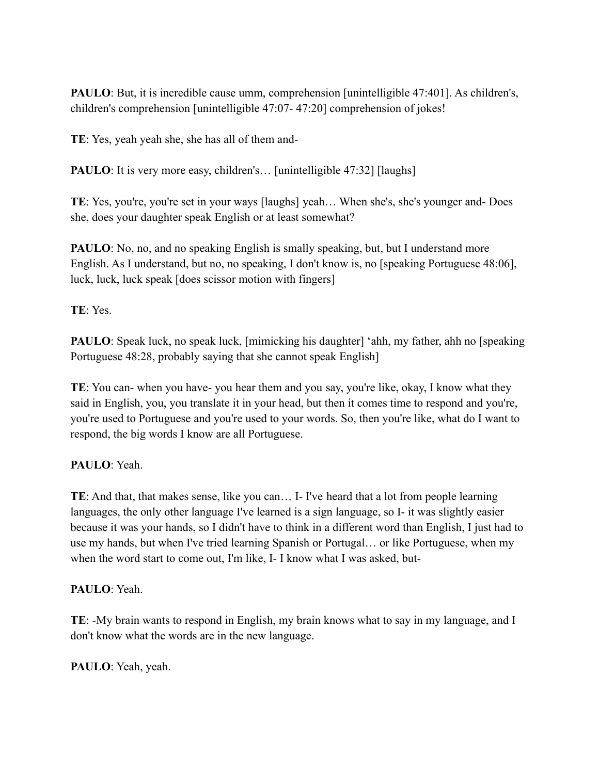**PAULO**: But, it is incredible cause umm, comprehension [unintelligible 47:401]. As children's, children's comprehension [unintelligible 47:07- 47:20] comprehension of jokes!

**TE**: Yes, yeah yeah she, she has all of them and-

**PAULO**: It is very more easy, children's... [unintelligible 47:32] [laughs]

**TE**: Yes, you're, you're set in your ways [laughs] yeah… When she's, she's younger and- Does she, does your daughter speak English or at least somewhat?

**PAULO**: No, no, and no speaking English is smally speaking, but, but I understand more English. As I understand, but no, no speaking, I don't know is, no [speaking Portuguese 48:06], luck, luck, luck speak [does scissor motion with fingers]

**TE**: Yes.

**PAULO**: Speak luck, no speak luck, [mimicking his daughter] 'ahh, my father, ahh no [speaking Portuguese 48:28, probably saying that she cannot speak English]

**TE**: You can- when you have- you hear them and you say, you're like, okay, I know what they said in English, you, you translate it in your head, but then it comes time to respond and you're, you're used to Portuguese and you're used to your words. So, then you're like, what do I want to respond, the big words I know are all Portuguese.

**PAULO**: Yeah.

**TE**: And that, that makes sense, like you can… I- I've heard that a lot from people learning languages, the only other language I've learned is a sign language, so I- it was slightly easier because it was your hands, so I didn't have to think in a different word than English, I just had to use my hands, but when I've tried learning Spanish or Portugal… or like Portuguese, when my when the word start to come out, I'm like, I- I know what I was asked, but-

**PAULO**: Yeah.

**TE**: -My brain wants to respond in English, my brain knows what to say in my language, and I don't know what the words are in the new language.

**PAULO**: Yeah, yeah.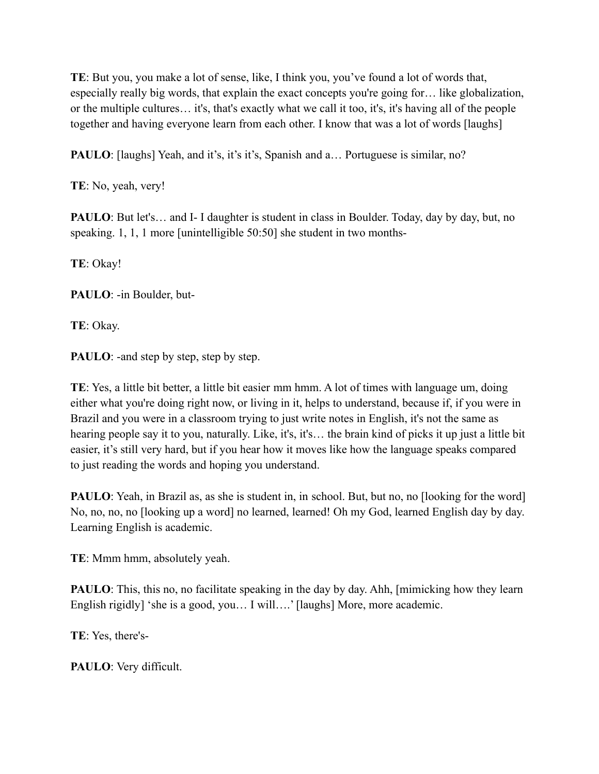**TE**: But you, you make a lot of sense, like, I think you, you've found a lot of words that, especially really big words, that explain the exact concepts you're going for… like globalization, or the multiple cultures… it's, that's exactly what we call it too, it's, it's having all of the people together and having everyone learn from each other. I know that was a lot of words [laughs]

**PAULO**: [laughs] Yeah, and it's, it's it's, Spanish and a... Portuguese is similar, no?

**TE**: No, yeah, very!

**PAULO**: But let's... and I- I daughter is student in class in Boulder. Today, day by day, but, no speaking. 1, 1, 1 more [unintelligible 50:50] she student in two months-

**TE**: Okay!

**PAULO**: -in Boulder, but-

**TE**: Okay.

**PAULO**: -and step by step, step by step.

**TE**: Yes, a little bit better, a little bit easier mm hmm. A lot of times with language um, doing either what you're doing right now, or living in it, helps to understand, because if, if you were in Brazil and you were in a classroom trying to just write notes in English, it's not the same as hearing people say it to you, naturally. Like, it's, it's... the brain kind of picks it up just a little bit easier, it's still very hard, but if you hear how it moves like how the language speaks compared to just reading the words and hoping you understand.

**PAULO**: Yeah, in Brazil as, as she is student in, in school. But, but no, no [looking for the word] No, no, no, no [looking up a word] no learned, learned! Oh my God, learned English day by day. Learning English is academic.

**TE**: Mmm hmm, absolutely yeah.

**PAULO**: This, this no, no facilitate speaking in the day by day. Ahh, [mimicking how they learn English rigidly] 'she is a good, you... I will....' [laughs] More, more academic.

**TE**: Yes, there's-

**PAULO**: Very difficult.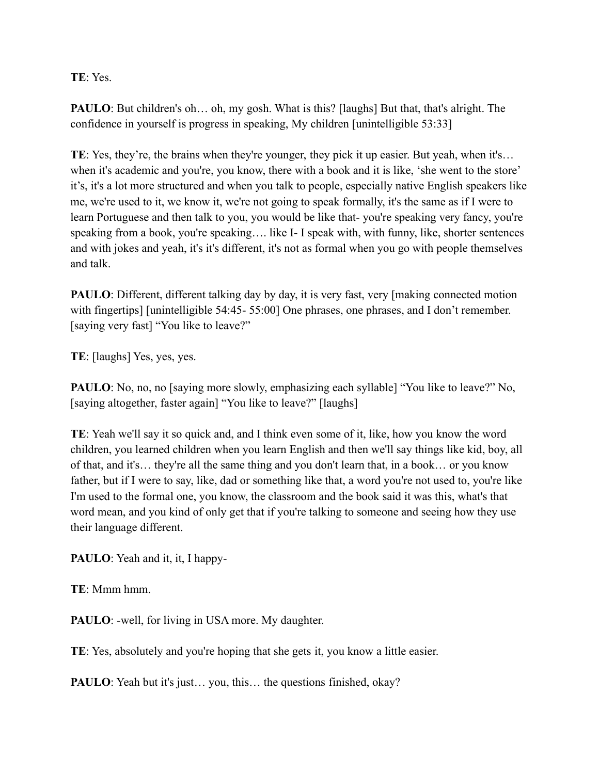# **TE**: Yes.

**PAULO**: But children's oh... oh, my gosh. What is this? [laughs] But that, that's alright. The confidence in yourself is progress in speaking, My children [unintelligible 53:33]

**TE**: Yes, they're, the brains when they're younger, they pick it up easier. But yeah, when it's… when it's academic and you're, you know, there with a book and it is like, 'she went to the store' it's, it's a lot more structured and when you talk to people, especially native English speakers like me, we're used to it, we know it, we're not going to speak formally, it's the same as if I were to learn Portuguese and then talk to you, you would be like that- you're speaking very fancy, you're speaking from a book, you're speaking…. like I- I speak with, with funny, like, shorter sentences and with jokes and yeah, it's it's different, it's not as formal when you go with people themselves and talk.

**PAULO**: Different, different talking day by day, it is very fast, very [making connected motion with fingertips] [unintelligible 54:45- 55:00] One phrases, one phrases, and I don't remember. [saying very fast] "You like to leave?"

**TE**: [laughs] Yes, yes, yes.

**PAULO**: No, no, no [saying more slowly, emphasizing each syllable] "You like to leave?" No, [saying altogether, faster again] "You like to leave?" [laughs]

**TE**: Yeah we'll say it so quick and, and I think even some of it, like, how you know the word children, you learned children when you learn English and then we'll say things like kid, boy, all of that, and it's… they're all the same thing and you don't learn that, in a book… or you know father, but if I were to say, like, dad or something like that, a word you're not used to, you're like I'm used to the formal one, you know, the classroom and the book said it was this, what's that word mean, and you kind of only get that if you're talking to someone and seeing how they use their language different.

**PAULO**: Yeah and it, it, I happy-

**TE**: Mmm hmm.

**PAULO**: -well, for living in USA more. My daughter.

**TE**: Yes, absolutely and you're hoping that she gets it, you know a little easier.

**PAULO**: Yeah but it's just... you, this... the questions finished, okay?